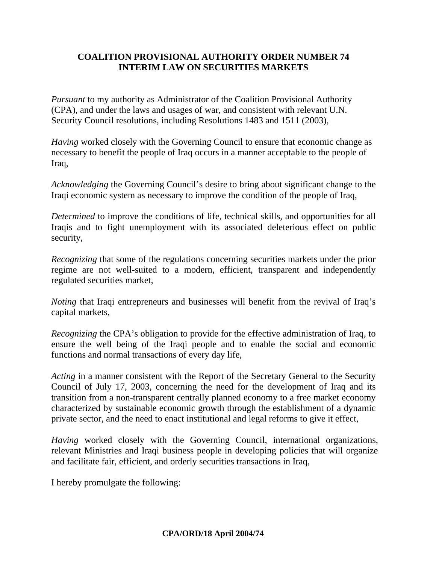# **COALITION PROVISIONAL AUTHORITY ORDER NUMBER 74 INTERIM LAW ON SECURITIES MARKETS**

*Pursuant* to my authority as Administrator of the Coalition Provisional Authority (CPA), and under the laws and usages of war, and consistent with relevant U.N. Security Council resolutions, including Resolutions 1483 and 1511 (2003),

*Having* worked closely with the Governing Council to ensure that economic change as necessary to benefit the people of Iraq occurs in a manner acceptable to the people of Iraq,

*Acknowledging* the Governing Council's desire to bring about significant change to the Iraqi economic system as necessary to improve the condition of the people of Iraq,

*Determined* to improve the conditions of life, technical skills, and opportunities for all Iraqis and to fight unemployment with its associated deleterious effect on public security,

*Recognizing* that some of the regulations concerning securities markets under the prior regime are not well-suited to a modern, efficient, transparent and independently regulated securities market,

*Noting* that Iraqi entrepreneurs and businesses will benefit from the revival of Iraq's capital markets,

*Recognizing* the CPA's obligation to provide for the effective administration of Iraq, to ensure the well being of the Iraqi people and to enable the social and economic functions and normal transactions of every day life,

*Acting* in a manner consistent with the Report of the Secretary General to the Security Council of July 17, 2003, concerning the need for the development of Iraq and its transition from a non-transparent centrally planned economy to a free market economy characterized by sustainable economic growth through the establishment of a dynamic private sector, and the need to enact institutional and legal reforms to give it effect,

*Having* worked closely with the Governing Council, international organizations, relevant Ministries and Iraqi business people in developing policies that will organize and facilitate fair, efficient, and orderly securities transactions in Iraq,

I hereby promulgate the following: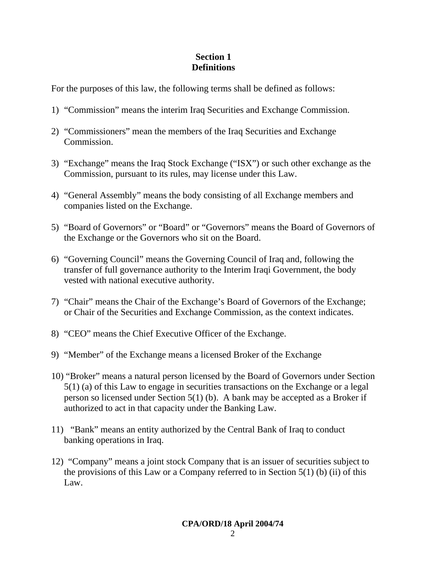# **Section 1 Definitions**

For the purposes of this law, the following terms shall be defined as follows:

- 1) "Commission" means the interim Iraq Securities and Exchange Commission.
- 2) "Commissioners" mean the members of the Iraq Securities and Exchange Commission.
- 3) "Exchange" means the Iraq Stock Exchange ("ISX") or such other exchange as the Commission, pursuant to its rules, may license under this Law.
- 4) "General Assembly" means the body consisting of all Exchange members and companies listed on the Exchange.
- 5) "Board of Governors" or "Board" or "Governors" means the Board of Governors of the Exchange or the Governors who sit on the Board.
- 6) "Governing Council" means the Governing Council of Iraq and, following the transfer of full governance authority to the Interim Iraqi Government, the body vested with national executive authority.
- 7) "Chair" means the Chair of the Exchange's Board of Governors of the Exchange; or Chair of the Securities and Exchange Commission, as the context indicates.
- 8) "CEO" means the Chief Executive Officer of the Exchange.
- 9) "Member" of the Exchange means a licensed Broker of the Exchange
- 10) "Broker" means a natural person licensed by the Board of Governors under Section 5(1) (a) of this Law to engage in securities transactions on the Exchange or a legal person so licensed under Section 5(1) (b). A bank may be accepted as a Broker if authorized to act in that capacity under the Banking Law.
- 11) "Bank" means an entity authorized by the Central Bank of Iraq to conduct banking operations in Iraq.
- 12) "Company" means a joint stock Company that is an issuer of securities subject to the provisions of this Law or a Company referred to in Section  $5(1)$  (b) (ii) of this Law.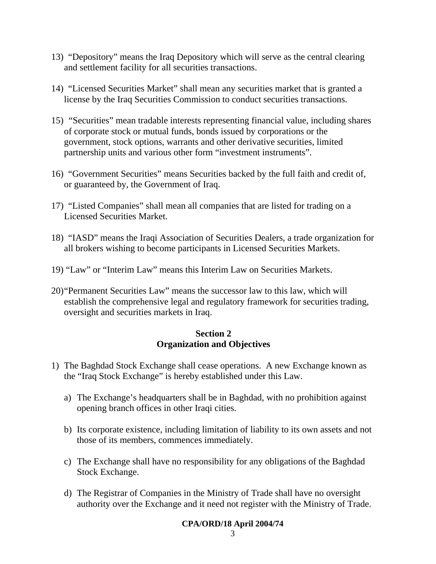- 13) "Depository" means the Iraq Depository which will serve as the central clearing and settlement facility for all securities transactions.
- 14) "Licensed Securities Market" shall mean any securities market that is granted a license by the Iraq Securities Commission to conduct securities transactions.
- 15) "Securities" mean tradable interests representing financial value, including shares of corporate stock or mutual funds, bonds issued by corporations or the government, stock options, warrants and other derivative securities, limited partnership units and various other form "investment instruments".
- 16) "Government Securities" means Securities backed by the full faith and credit of, or guaranteed by, the Government of Iraq.
- 17) "Listed Companies" shall mean all companies that are listed for trading on a Licensed Securities Market.
- 18) "IASD" means the Iraqi Association of Securities Dealers, a trade organization for all brokers wishing to become participants in Licensed Securities Markets.
- 19) "Law" or "Interim Law" means this Interim Law on Securities Markets.
- 20)"Permanent Securities Law" means the successor law to this law, which will establish the comprehensive legal and regulatory framework for securities trading, oversight and securities markets in Iraq.

### **Section 2 Organization and Objectives**

- 1) The Baghdad Stock Exchange shall cease operations. A new Exchange known as the "Iraq Stock Exchange" is hereby established under this Law.
	- a) The Exchange's headquarters shall be in Baghdad, with no prohibition against opening branch offices in other Iraqi cities.
	- b) Its corporate existence, including limitation of liability to its own assets and not those of its members, commences immediately.
	- c) The Exchange shall have no responsibility for any obligations of the Baghdad Stock Exchange.
	- d) The Registrar of Companies in the Ministry of Trade shall have no oversight authority over the Exchange and it need not register with the Ministry of Trade.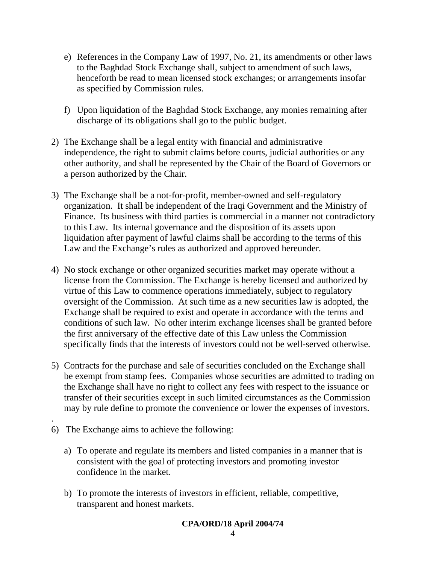- e) References in the Company Law of 1997, No. 21, its amendments or other laws to the Baghdad Stock Exchange shall, subject to amendment of such laws, henceforth be read to mean licensed stock exchanges; or arrangements insofar as specified by Commission rules.
- f) Upon liquidation of the Baghdad Stock Exchange, any monies remaining after discharge of its obligations shall go to the public budget.
- 2) The Exchange shall be a legal entity with financial and administrative independence, the right to submit claims before courts, judicial authorities or any other authority, and shall be represented by the Chair of the Board of Governors or a person authorized by the Chair.
- 3) The Exchange shall be a not-for-profit, member-owned and self-regulatory organization. It shall be independent of the Iraqi Government and the Ministry of Finance. Its business with third parties is commercial in a manner not contradictory to this Law. Its internal governance and the disposition of its assets upon liquidation after payment of lawful claims shall be according to the terms of this Law and the Exchange's rules as authorized and approved hereunder.
- 4) No stock exchange or other organized securities market may operate without a license from the Commission. The Exchange is hereby licensed and authorized by virtue of this Law to commence operations immediately, subject to regulatory oversight of the Commission. At such time as a new securities law is adopted, the Exchange shall be required to exist and operate in accordance with the terms and conditions of such law. No other interim exchange licenses shall be granted before the first anniversary of the effective date of this Law unless the Commission specifically finds that the interests of investors could not be well-served otherwise.
- 5) Contracts for the purchase and sale of securities concluded on the Exchange shall be exempt from stamp fees. Companies whose securities are admitted to trading on the Exchange shall have no right to collect any fees with respect to the issuance or transfer of their securities except in such limited circumstances as the Commission may by rule define to promote the convenience or lower the expenses of investors.
- 6) The Exchange aims to achieve the following:

.

- a) To operate and regulate its members and listed companies in a manner that is consistent with the goal of protecting investors and promoting investor confidence in the market.
- b) To promote the interests of investors in efficient, reliable, competitive, transparent and honest markets.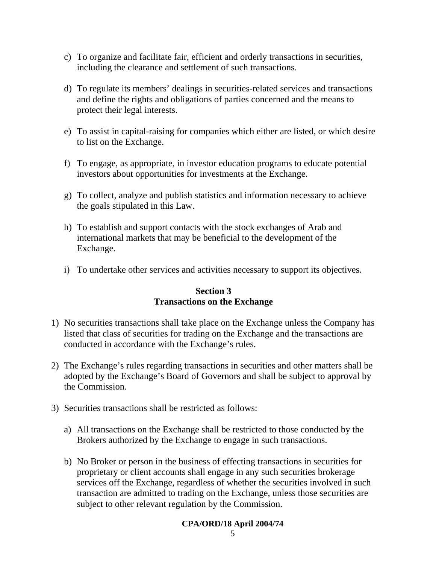- c) To organize and facilitate fair, efficient and orderly transactions in securities, including the clearance and settlement of such transactions.
- d) To regulate its members' dealings in securities-related services and transactions and define the rights and obligations of parties concerned and the means to protect their legal interests.
- e) To assist in capital-raising for companies which either are listed, or which desire to list on the Exchange.
- f) To engage, as appropriate, in investor education programs to educate potential investors about opportunities for investments at the Exchange.
- g) To collect, analyze and publish statistics and information necessary to achieve the goals stipulated in this Law.
- h) To establish and support contacts with the stock exchanges of Arab and international markets that may be beneficial to the development of the Exchange.
- i) To undertake other services and activities necessary to support its objectives.

### **Section 3 Transactions on the Exchange**

- 1) No securities transactions shall take place on the Exchange unless the Company has listed that class of securities for trading on the Exchange and the transactions are conducted in accordance with the Exchange's rules.
- 2) The Exchange's rules regarding transactions in securities and other matters shall be adopted by the Exchange's Board of Governors and shall be subject to approval by the Commission.
- 3) Securities transactions shall be restricted as follows:
	- a) All transactions on the Exchange shall be restricted to those conducted by the Brokers authorized by the Exchange to engage in such transactions.
	- b) No Broker or person in the business of effecting transactions in securities for proprietary or client accounts shall engage in any such securities brokerage services off the Exchange, regardless of whether the securities involved in such transaction are admitted to trading on the Exchange, unless those securities are subject to other relevant regulation by the Commission.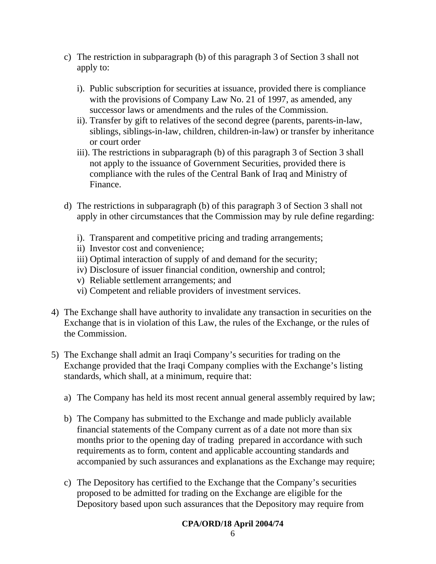- c) The restriction in subparagraph (b) of this paragraph 3 of Section 3 shall not apply to:
	- i). Public subscription for securities at issuance, provided there is compliance with the provisions of Company Law No. 21 of 1997, as amended, any successor laws or amendments and the rules of the Commission.
	- ii). Transfer by gift to relatives of the second degree (parents, parents-in-law, siblings, siblings-in-law, children, children-in-law) or transfer by inheritance or court order
	- iii). The restrictions in subparagraph (b) of this paragraph 3 of Section 3 shall not apply to the issuance of Government Securities, provided there is compliance with the rules of the Central Bank of Iraq and Ministry of Finance.
- d) The restrictions in subparagraph (b) of this paragraph 3 of Section 3 shall not apply in other circumstances that the Commission may by rule define regarding:
	- i). Transparent and competitive pricing and trading arrangements;
	- ii) Investor cost and convenience;
	- iii) Optimal interaction of supply of and demand for the security;
	- iv) Disclosure of issuer financial condition, ownership and control;
	- v) Reliable settlement arrangements; and
	- vi) Competent and reliable providers of investment services.
- 4) The Exchange shall have authority to invalidate any transaction in securities on the Exchange that is in violation of this Law, the rules of the Exchange, or the rules of the Commission.
- 5) The Exchange shall admit an Iraqi Company's securities for trading on the Exchange provided that the Iraqi Company complies with the Exchange's listing standards, which shall, at a minimum, require that:
	- a) The Company has held its most recent annual general assembly required by law;
	- b) The Company has submitted to the Exchange and made publicly available financial statements of the Company current as of a date not more than six months prior to the opening day of trading prepared in accordance with such requirements as to form, content and applicable accounting standards and accompanied by such assurances and explanations as the Exchange may require;
	- c) The Depository has certified to the Exchange that the Company's securities proposed to be admitted for trading on the Exchange are eligible for the Depository based upon such assurances that the Depository may require from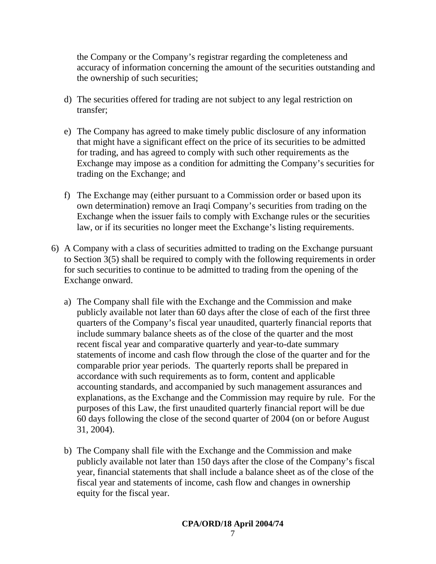the Company or the Company's registrar regarding the completeness and accuracy of information concerning the amount of the securities outstanding and the ownership of such securities;

- d) The securities offered for trading are not subject to any legal restriction on transfer;
- e) The Company has agreed to make timely public disclosure of any information that might have a significant effect on the price of its securities to be admitted for trading, and has agreed to comply with such other requirements as the Exchange may impose as a condition for admitting the Company's securities for trading on the Exchange; and
- f) The Exchange may (either pursuant to a Commission order or based upon its own determination) remove an Iraqi Company's securities from trading on the Exchange when the issuer fails to comply with Exchange rules or the securities law, or if its securities no longer meet the Exchange's listing requirements.
- 6) A Company with a class of securities admitted to trading on the Exchange pursuant to Section 3(5) shall be required to comply with the following requirements in order for such securities to continue to be admitted to trading from the opening of the Exchange onward.
	- a) The Company shall file with the Exchange and the Commission and make publicly available not later than 60 days after the close of each of the first three quarters of the Company's fiscal year unaudited, quarterly financial reports that include summary balance sheets as of the close of the quarter and the most recent fiscal year and comparative quarterly and year-to-date summary statements of income and cash flow through the close of the quarter and for the comparable prior year periods. The quarterly reports shall be prepared in accordance with such requirements as to form, content and applicable accounting standards, and accompanied by such management assurances and explanations, as the Exchange and the Commission may require by rule. For the purposes of this Law, the first unaudited quarterly financial report will be due 60 days following the close of the second quarter of 2004 (on or before August 31, 2004).
	- b) The Company shall file with the Exchange and the Commission and make publicly available not later than 150 days after the close of the Company's fiscal year, financial statements that shall include a balance sheet as of the close of the fiscal year and statements of income, cash flow and changes in ownership equity for the fiscal year.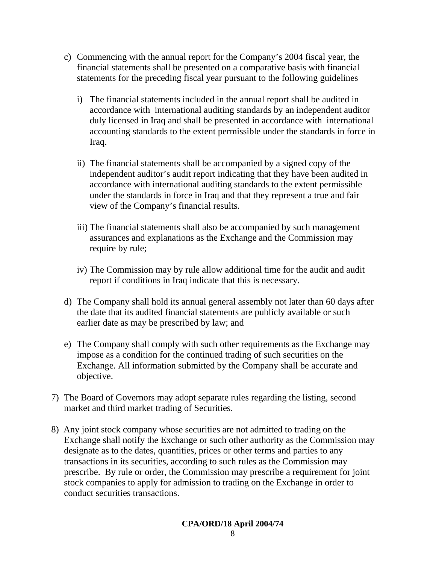- c) Commencing with the annual report for the Company's 2004 fiscal year, the financial statements shall be presented on a comparative basis with financial statements for the preceding fiscal year pursuant to the following guidelines
	- i) The financial statements included in the annual report shall be audited in accordance with international auditing standards by an independent auditor duly licensed in Iraq and shall be presented in accordance with international accounting standards to the extent permissible under the standards in force in Iraq.
	- ii) The financial statements shall be accompanied by a signed copy of the independent auditor's audit report indicating that they have been audited in accordance with international auditing standards to the extent permissible under the standards in force in Iraq and that they represent a true and fair view of the Company's financial results.
	- iii) The financial statements shall also be accompanied by such management assurances and explanations as the Exchange and the Commission may require by rule;
	- iv) The Commission may by rule allow additional time for the audit and audit report if conditions in Iraq indicate that this is necessary.
- d) The Company shall hold its annual general assembly not later than 60 days after the date that its audited financial statements are publicly available or such earlier date as may be prescribed by law; and
- e) The Company shall comply with such other requirements as the Exchange may impose as a condition for the continued trading of such securities on the Exchange. All information submitted by the Company shall be accurate and objective.
- 7) The Board of Governors may adopt separate rules regarding the listing, second market and third market trading of Securities.
- 8) Any joint stock company whose securities are not admitted to trading on the Exchange shall notify the Exchange or such other authority as the Commission may designate as to the dates, quantities, prices or other terms and parties to any transactions in its securities, according to such rules as the Commission may prescribe. By rule or order, the Commission may prescribe a requirement for joint stock companies to apply for admission to trading on the Exchange in order to conduct securities transactions.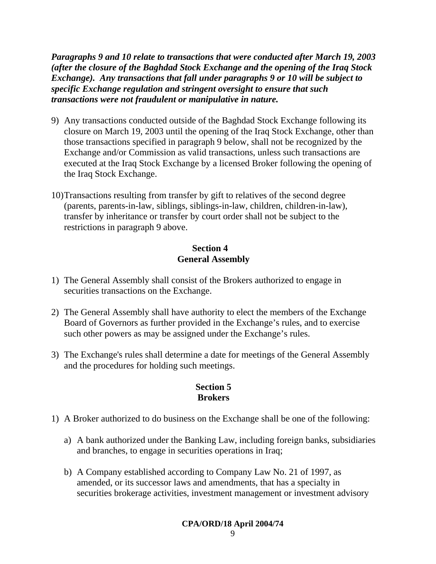*Paragraphs 9 and 10 relate to transactions that were conducted after March 19, 2003 (after the closure of the Baghdad Stock Exchange and the opening of the Iraq Stock Exchange). Any transactions that fall under paragraphs 9 or 10 will be subject to specific Exchange regulation and stringent oversight to ensure that such transactions were not fraudulent or manipulative in nature.* 

- 9) Any transactions conducted outside of the Baghdad Stock Exchange following its closure on March 19, 2003 until the opening of the Iraq Stock Exchange, other than those transactions specified in paragraph 9 below, shall not be recognized by the Exchange and/or Commission as valid transactions, unless such transactions are executed at the Iraq Stock Exchange by a licensed Broker following the opening of the Iraq Stock Exchange.
- 10) Transactions resulting from transfer by gift to relatives of the second degree (parents, parents-in-law, siblings, siblings-in-law, children, children-in-law), transfer by inheritance or transfer by court order shall not be subject to the restrictions in paragraph 9 above.

### **Section 4 General Assembly**

- 1)The General Assembly shall consist of the Brokers authorized to engage in securities transactions on the Exchange.
- 2) The General Assembly shall have authority to elect the members of the Exchange Board of Governors as further provided in the Exchange's rules, and to exercise such other powers as may be assigned under the Exchange's rules.
- 3) The Exchange's rules shall determine a date for meetings of the General Assembly and the procedures for holding such meetings.

# **Section 5 Brokers**

- 1) A Broker authorized to do business on the Exchange shall be one of the following:
	- a) A bank authorized under the Banking Law, including foreign banks, subsidiaries and branches, to engage in securities operations in Iraq;
	- b) A Company established according to Company Law No. 21 of 1997, as amended, or its successor laws and amendments, that has a specialty in securities brokerage activities, investment management or investment advisory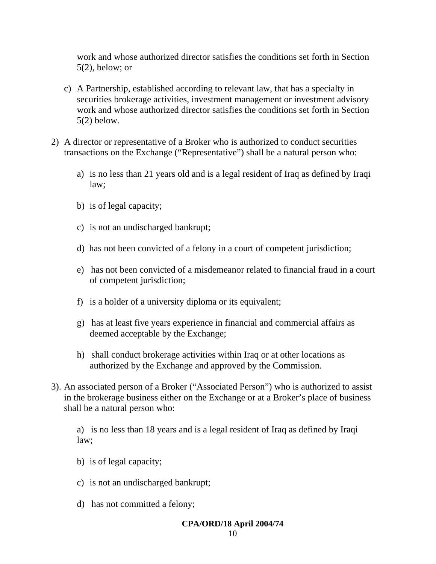work and whose authorized director satisfies the conditions set forth in Section 5(2), below; or

- c) A Partnership, established according to relevant law, that has a specialty in securities brokerage activities, investment management or investment advisory work and whose authorized director satisfies the conditions set forth in Section 5(2) below.
- 2) A director or representative of a Broker who is authorized to conduct securities transactions on the Exchange ("Representative") shall be a natural person who:
	- a) is no less than 21 years old and is a legal resident of Iraq as defined by Iraqi law;
	- b) is of legal capacity;
	- c) is not an undischarged bankrupt;
	- d) has not been convicted of a felony in a court of competent jurisdiction;
	- e) has not been convicted of a misdemeanor related to financial fraud in a court of competent jurisdiction;
	- f) is a holder of a university diploma or its equivalent;
	- g) has at least five years experience in financial and commercial affairs as deemed acceptable by the Exchange;
	- h) shall conduct brokerage activities within Iraq or at other locations as authorized by the Exchange and approved by the Commission.
- 3). An associated person of a Broker ("Associated Person") who is authorized to assist in the brokerage business either on the Exchange or at a Broker's place of business shall be a natural person who:

a) is no less than 18 years and is a legal resident of Iraq as defined by Iraqi law;

- b) is of legal capacity;
- c) is not an undischarged bankrupt;
- d) has not committed a felony;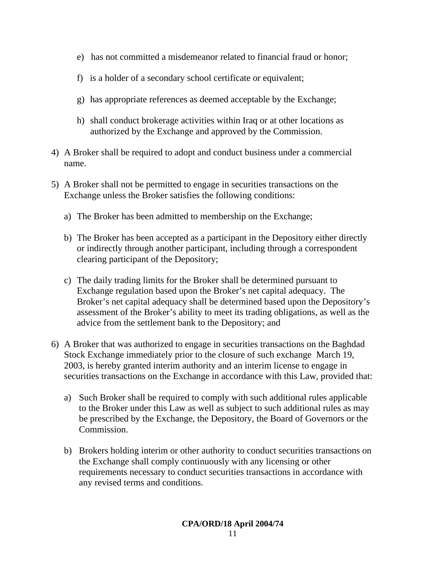- e) has not committed a misdemeanor related to financial fraud or honor;
- f) is a holder of a secondary school certificate or equivalent;
- g) has appropriate references as deemed acceptable by the Exchange;
- h) shall conduct brokerage activities within Iraq or at other locations as authorized by the Exchange and approved by the Commission.
- 4) A Broker shall be required to adopt and conduct business under a commercial name.
- 5) A Broker shall not be permitted to engage in securities transactions on the Exchange unless the Broker satisfies the following conditions:
	- a) The Broker has been admitted to membership on the Exchange;
	- b) The Broker has been accepted as a participant in the Depository either directly or indirectly through another participant, including through a correspondent clearing participant of the Depository;
	- c) The daily trading limits for the Broker shall be determined pursuant to Exchange regulation based upon the Broker's net capital adequacy. The Broker's net capital adequacy shall be determined based upon the Depository's assessment of the Broker's ability to meet its trading obligations, as well as the advice from the settlement bank to the Depository; and
- 6) A Broker that was authorized to engage in securities transactions on the Baghdad Stock Exchange immediately prior to the closure of such exchange March 19, 2003, is hereby granted interim authority and an interim license to engage in securities transactions on the Exchange in accordance with this Law, provided that:
	- a) Such Broker shall be required to comply with such additional rules applicable to the Broker under this Law as well as subject to such additional rules as may be prescribed by the Exchange, the Depository, the Board of Governors or the Commission.
	- b) Brokers holding interim or other authority to conduct securities transactions on the Exchange shall comply continuously with any licensing or other requirements necessary to conduct securities transactions in accordance with any revised terms and conditions.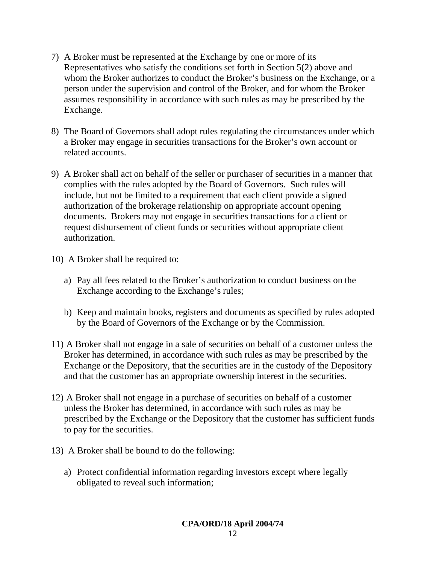- 7) A Broker must be represented at the Exchange by one or more of its Representatives who satisfy the conditions set forth in Section 5(2) above and whom the Broker authorizes to conduct the Broker's business on the Exchange, or a person under the supervision and control of the Broker, and for whom the Broker assumes responsibility in accordance with such rules as may be prescribed by the Exchange.
- 8) The Board of Governors shall adopt rules regulating the circumstances under which a Broker may engage in securities transactions for the Broker's own account or related accounts.
- 9) A Broker shall act on behalf of the seller or purchaser of securities in a manner that complies with the rules adopted by the Board of Governors. Such rules will include, but not be limited to a requirement that each client provide a signed authorization of the brokerage relationship on appropriate account opening documents. Brokers may not engage in securities transactions for a client or request disbursement of client funds or securities without appropriate client authorization.
- 10) A Broker shall be required to:
	- a) Pay all fees related to the Broker's authorization to conduct business on the Exchange according to the Exchange's rules;
	- b) Keep and maintain books, registers and documents as specified by rules adopted by the Board of Governors of the Exchange or by the Commission.
- 11) A Broker shall not engage in a sale of securities on behalf of a customer unless the Broker has determined, in accordance with such rules as may be prescribed by the Exchange or the Depository, that the securities are in the custody of the Depository and that the customer has an appropriate ownership interest in the securities.
- 12) A Broker shall not engage in a purchase of securities on behalf of a customer unless the Broker has determined, in accordance with such rules as may be prescribed by the Exchange or the Depository that the customer has sufficient funds to pay for the securities.
- 13) A Broker shall be bound to do the following:
	- a) Protect confidential information regarding investors except where legally obligated to reveal such information;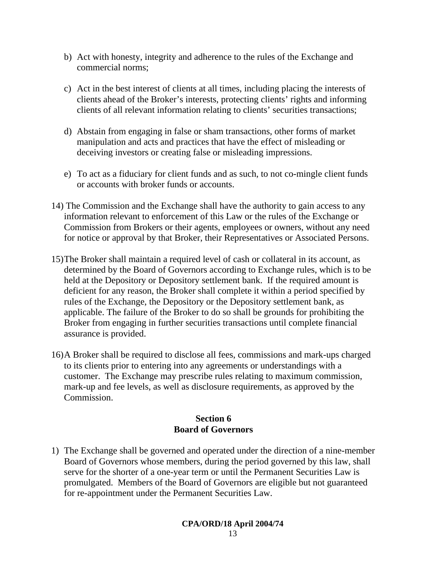- b) Act with honesty, integrity and adherence to the rules of the Exchange and commercial norms;
- c) Act in the best interest of clients at all times, including placing the interests of clients ahead of the Broker's interests, protecting clients' rights and informing clients of all relevant information relating to clients' securities transactions;
- d) Abstain from engaging in false or sham transactions, other forms of market manipulation and acts and practices that have the effect of misleading or deceiving investors or creating false or misleading impressions.
- e) To act as a fiduciary for client funds and as such, to not co-mingle client funds or accounts with broker funds or accounts.
- 14) The Commission and the Exchange shall have the authority to gain access to any information relevant to enforcement of this Law or the rules of the Exchange or Commission from Brokers or their agents, employees or owners, without any need for notice or approval by that Broker, their Representatives or Associated Persons.
- 15) The Broker shall maintain a required level of cash or collateral in its account, as determined by the Board of Governors according to Exchange rules, which is to be held at the Depository or Depository settlement bank. If the required amount is deficient for any reason, the Broker shall complete it within a period specified by rules of the Exchange, the Depository or the Depository settlement bank, as applicable. The failure of the Broker to do so shall be grounds for prohibiting the Broker from engaging in further securities transactions until complete financial assurance is provided.
- 16) A Broker shall be required to disclose all fees, commissions and mark-ups charged to its clients prior to entering into any agreements or understandings with a customer. The Exchange may prescribe rules relating to maximum commission, mark-up and fee levels, as well as disclosure requirements, as approved by the Commission.

### **Section 6 Board of Governors**

1) The Exchange shall be governed and operated under the direction of a nine-member Board of Governors whose members, during the period governed by this law, shall serve for the shorter of a one-year term or until the Permanent Securities Law is promulgated. Members of the Board of Governors are eligible but not guaranteed for re-appointment under the Permanent Securities Law.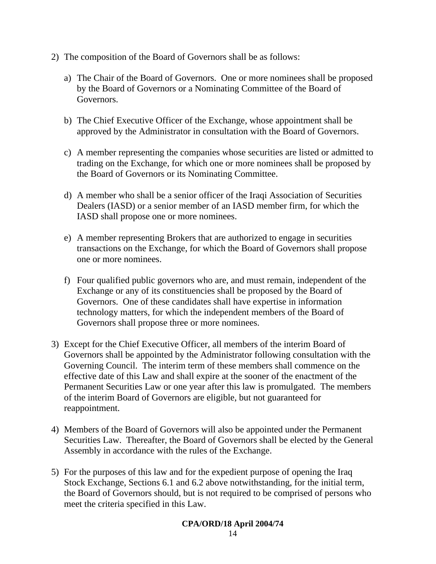- 2) The composition of the Board of Governors shall be as follows:
	- a) The Chair of the Board of Governors. One or more nominees shall be proposed by the Board of Governors or a Nominating Committee of the Board of Governors.
	- b) The Chief Executive Officer of the Exchange, whose appointment shall be approved by the Administrator in consultation with the Board of Governors.
	- c) A member representing the companies whose securities are listed or admitted to trading on the Exchange, for which one or more nominees shall be proposed by the Board of Governors or its Nominating Committee.
	- d) A member who shall be a senior officer of the Iraqi Association of Securities Dealers (IASD) or a senior member of an IASD member firm, for which the IASD shall propose one or more nominees.
	- e) A member representing Brokers that are authorized to engage in securities transactions on the Exchange, for which the Board of Governors shall propose one or more nominees.
	- f) Four qualified public governors who are, and must remain, independent of the Exchange or any of its constituencies shall be proposed by the Board of Governors. One of these candidates shall have expertise in information technology matters, for which the independent members of the Board of Governors shall propose three or more nominees.
- 3) Except for the Chief Executive Officer, all members of the interim Board of Governors shall be appointed by the Administrator following consultation with the Governing Council. The interim term of these members shall commence on the effective date of this Law and shall expire at the sooner of the enactment of the Permanent Securities Law or one year after this law is promulgated. The members of the interim Board of Governors are eligible, but not guaranteed for reappointment.
- 4) Members of the Board of Governors will also be appointed under the Permanent Securities Law. Thereafter, the Board of Governors shall be elected by the General Assembly in accordance with the rules of the Exchange.
- 5) For the purposes of this law and for the expedient purpose of opening the Iraq Stock Exchange, Sections 6.1 and 6.2 above notwithstanding, for the initial term, the Board of Governors should, but is not required to be comprised of persons who meet the criteria specified in this Law.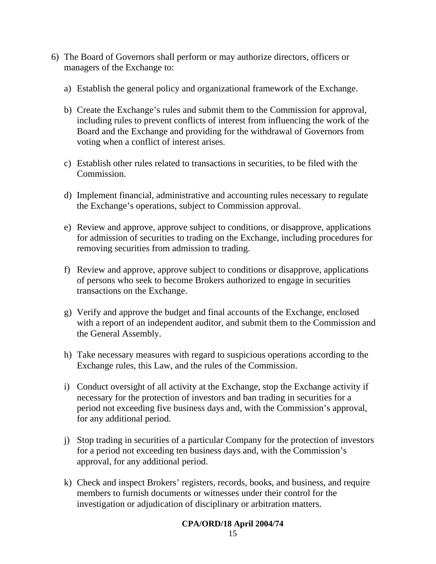- 6) The Board of Governors shall perform or may authorize directors, officers or managers of the Exchange to:
	- a) Establish the general policy and organizational framework of the Exchange.
	- b) Create the Exchange's rules and submit them to the Commission for approval, including rules to prevent conflicts of interest from influencing the work of the Board and the Exchange and providing for the withdrawal of Governors from voting when a conflict of interest arises.
	- c) Establish other rules related to transactions in securities, to be filed with the Commission.
	- d) Implement financial, administrative and accounting rules necessary to regulate the Exchange's operations, subject to Commission approval.
	- e) Review and approve, approve subject to conditions, or disapprove, applications for admission of securities to trading on the Exchange, including procedures for removing securities from admission to trading.
	- f) Review and approve, approve subject to conditions or disapprove, applications of persons who seek to become Brokers authorized to engage in securities transactions on the Exchange.
	- g) Verify and approve the budget and final accounts of the Exchange, enclosed with a report of an independent auditor, and submit them to the Commission and the General Assembly.
	- h) Take necessary measures with regard to suspicious operations according to the Exchange rules, this Law, and the rules of the Commission.
	- i) Conduct oversight of all activity at the Exchange, stop the Exchange activity if necessary for the protection of investors and ban trading in securities for a period not exceeding five business days and, with the Commission's approval, for any additional period.
	- j) Stop trading in securities of a particular Company for the protection of investors for a period not exceeding ten business days and, with the Commission's approval, for any additional period.
	- k) Check and inspect Brokers' registers, records, books, and business, and require members to furnish documents or witnesses under their control for the investigation or adjudication of disciplinary or arbitration matters.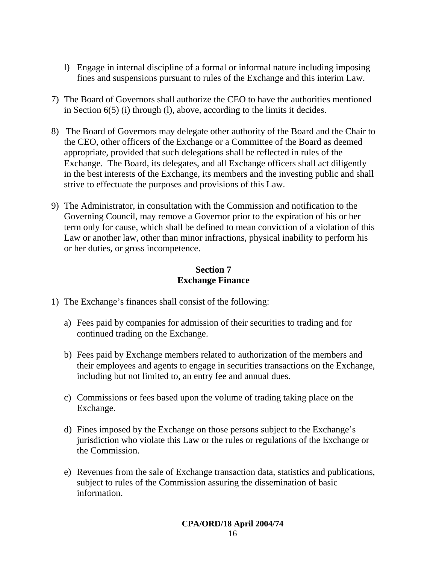- l) Engage in internal discipline of a formal or informal nature including imposing fines and suspensions pursuant to rules of the Exchange and this interim Law.
- 7) The Board of Governors shall authorize the CEO to have the authorities mentioned in Section 6(5) (i) through (l), above, according to the limits it decides.
- 8) The Board of Governors may delegate other authority of the Board and the Chair to the CEO, other officers of the Exchange or a Committee of the Board as deemed appropriate, provided that such delegations shall be reflected in rules of the Exchange. The Board, its delegates, and all Exchange officers shall act diligently in the best interests of the Exchange, its members and the investing public and shall strive to effectuate the purposes and provisions of this Law.
- 9) The Administrator, in consultation with the Commission and notification to the Governing Council, may remove a Governor prior to the expiration of his or her term only for cause, which shall be defined to mean conviction of a violation of this Law or another law, other than minor infractions, physical inability to perform his or her duties, or gross incompetence.

## **Section 7 Exchange Finance**

- 1) The Exchange's finances shall consist of the following:
	- a) Fees paid by companies for admission of their securities to trading and for continued trading on the Exchange.
	- b) Fees paid by Exchange members related to authorization of the members and their employees and agents to engage in securities transactions on the Exchange, including but not limited to, an entry fee and annual dues.
	- c) Commissions or fees based upon the volume of trading taking place on the Exchange.
	- d) Fines imposed by the Exchange on those persons subject to the Exchange's jurisdiction who violate this Law or the rules or regulations of the Exchange or the Commission.
	- e) Revenues from the sale of Exchange transaction data, statistics and publications, subject to rules of the Commission assuring the dissemination of basic information.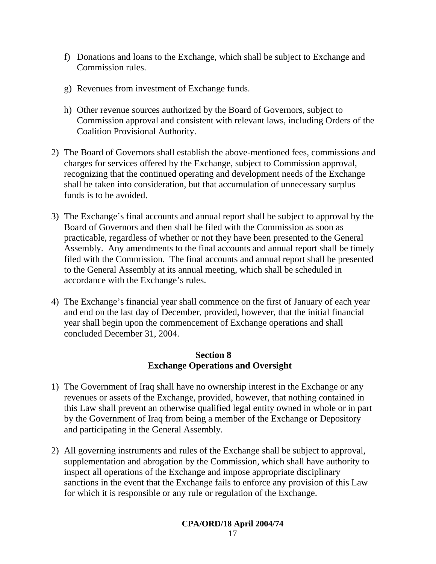- f) Donations and loans to the Exchange, which shall be subject to Exchange and Commission rules.
- g) Revenues from investment of Exchange funds.
- h) Other revenue sources authorized by the Board of Governors, subject to Commission approval and consistent with relevant laws, including Orders of the Coalition Provisional Authority.
- 2) The Board of Governors shall establish the above-mentioned fees, commissions and charges for services offered by the Exchange, subject to Commission approval, recognizing that the continued operating and development needs of the Exchange shall be taken into consideration, but that accumulation of unnecessary surplus funds is to be avoided.
- 3) The Exchange's final accounts and annual report shall be subject to approval by the Board of Governors and then shall be filed with the Commission as soon as practicable, regardless of whether or not they have been presented to the General Assembly. Any amendments to the final accounts and annual report shall be timely filed with the Commission. The final accounts and annual report shall be presented to the General Assembly at its annual meeting, which shall be scheduled in accordance with the Exchange's rules.
- 4) The Exchange's financial year shall commence on the first of January of each year and end on the last day of December, provided, however, that the initial financial year shall begin upon the commencement of Exchange operations and shall concluded December 31, 2004.

#### **Section 8 Exchange Operations and Oversight**

- 1) The Government of Iraq shall have no ownership interest in the Exchange or any revenues or assets of the Exchange, provided, however, that nothing contained in this Law shall prevent an otherwise qualified legal entity owned in whole or in part by the Government of Iraq from being a member of the Exchange or Depository and participating in the General Assembly.
- 2) All governing instruments and rules of the Exchange shall be subject to approval, supplementation and abrogation by the Commission, which shall have authority to inspect all operations of the Exchange and impose appropriate disciplinary sanctions in the event that the Exchange fails to enforce any provision of this Law for which it is responsible or any rule or regulation of the Exchange.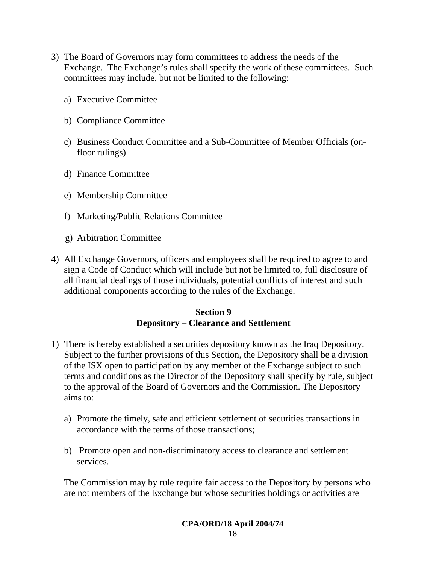- 3) The Board of Governors may form committees to address the needs of the Exchange. The Exchange's rules shall specify the work of these committees. Such committees may include, but not be limited to the following:
	- a) Executive Committee
	- b) Compliance Committee
	- c) Business Conduct Committee and a Sub-Committee of Member Officials (onfloor rulings)
	- d) Finance Committee
	- e) Membership Committee
	- f) Marketing/Public Relations Committee
	- g) Arbitration Committee
- 4) All Exchange Governors, officers and employees shall be required to agree to and sign a Code of Conduct which will include but not be limited to, full disclosure of all financial dealings of those individuals, potential conflicts of interest and such additional components according to the rules of the Exchange.

# **Section 9 Depository – Clearance and Settlement**

- 1) There is hereby established a securities depository known as the Iraq Depository. Subject to the further provisions of this Section, the Depository shall be a division of the ISX open to participation by any member of the Exchange subject to such terms and conditions as the Director of the Depository shall specify by rule, subject to the approval of the Board of Governors and the Commission. The Depository aims to:
	- a) Promote the timely, safe and efficient settlement of securities transactions in accordance with the terms of those transactions;
	- b) Promote open and non-discriminatory access to clearance and settlement services.

The Commission may by rule require fair access to the Depository by persons who are not members of the Exchange but whose securities holdings or activities are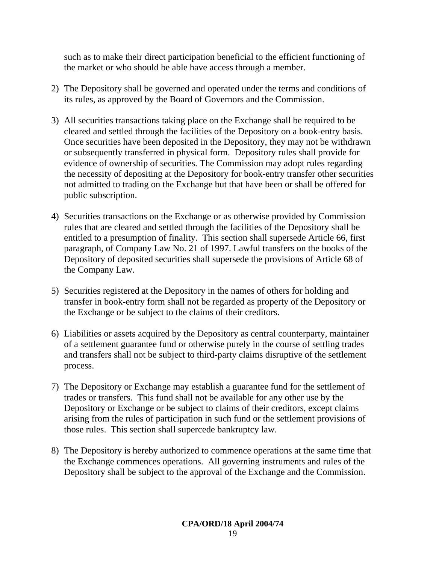such as to make their direct participation beneficial to the efficient functioning of the market or who should be able have access through a member.

- 2) The Depository shall be governed and operated under the terms and conditions of its rules, as approved by the Board of Governors and the Commission.
- 3) All securities transactions taking place on the Exchange shall be required to be cleared and settled through the facilities of the Depository on a book-entry basis. Once securities have been deposited in the Depository, they may not be withdrawn or subsequently transferred in physical form. Depository rules shall provide for evidence of ownership of securities. The Commission may adopt rules regarding the necessity of depositing at the Depository for book-entry transfer other securities not admitted to trading on the Exchange but that have been or shall be offered for public subscription.
- 4) Securities transactions on the Exchange or as otherwise provided by Commission rules that are cleared and settled through the facilities of the Depository shall be entitled to a presumption of finality. This section shall supersede Article 66, first paragraph, of Company Law No. 21 of 1997. Lawful transfers on the books of the Depository of deposited securities shall supersede the provisions of Article 68 of the Company Law.
- 5) Securities registered at the Depository in the names of others for holding and transfer in book-entry form shall not be regarded as property of the Depository or the Exchange or be subject to the claims of their creditors.
- 6) Liabilities or assets acquired by the Depository as central counterparty, maintainer of a settlement guarantee fund or otherwise purely in the course of settling trades and transfers shall not be subject to third-party claims disruptive of the settlement process.
- 7) The Depository or Exchange may establish a guarantee fund for the settlement of trades or transfers. This fund shall not be available for any other use by the Depository or Exchange or be subject to claims of their creditors, except claims arising from the rules of participation in such fund or the settlement provisions of those rules. This section shall supercede bankruptcy law.
- 8) The Depository is hereby authorized to commence operations at the same time that the Exchange commences operations. All governing instruments and rules of the Depository shall be subject to the approval of the Exchange and the Commission.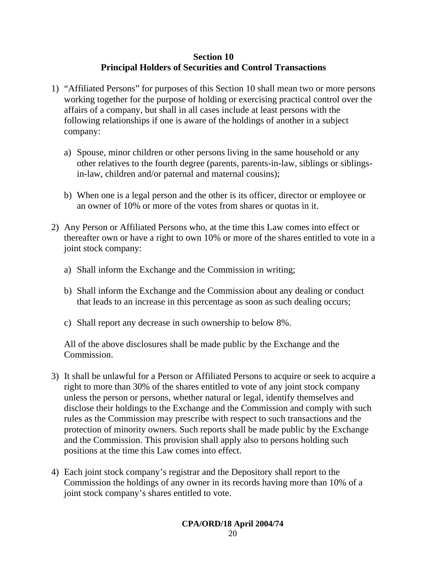## **Section 10 Principal Holders of Securities and Control Transactions**

- 1) "Affiliated Persons" for purposes of this Section 10 shall mean two or more persons working together for the purpose of holding or exercising practical control over the affairs of a company, but shall in all cases include at least persons with the following relationships if one is aware of the holdings of another in a subject company:
	- a) Spouse, minor children or other persons living in the same household or any other relatives to the fourth degree (parents, parents-in-law, siblings or siblingsin-law, children and/or paternal and maternal cousins);
	- b) When one is a legal person and the other is its officer, director or employee or an owner of 10% or more of the votes from shares or quotas in it.
- 2) Any Person or Affiliated Persons who, at the time this Law comes into effect or thereafter own or have a right to own 10% or more of the shares entitled to vote in a joint stock company:
	- a) Shall inform the Exchange and the Commission in writing;
	- b) Shall inform the Exchange and the Commission about any dealing or conduct that leads to an increase in this percentage as soon as such dealing occurs;
	- c) Shall report any decrease in such ownership to below 8%.

All of the above disclosures shall be made public by the Exchange and the Commission.

- 3) It shall be unlawful for a Person or Affiliated Persons to acquire or seek to acquire a right to more than 30% of the shares entitled to vote of any joint stock company unless the person or persons, whether natural or legal, identify themselves and disclose their holdings to the Exchange and the Commission and comply with such rules as the Commission may prescribe with respect to such transactions and the protection of minority owners. Such reports shall be made public by the Exchange and the Commission. This provision shall apply also to persons holding such positions at the time this Law comes into effect.
- 4) Each joint stock company's registrar and the Depository shall report to the Commission the holdings of any owner in its records having more than 10% of a joint stock company's shares entitled to vote.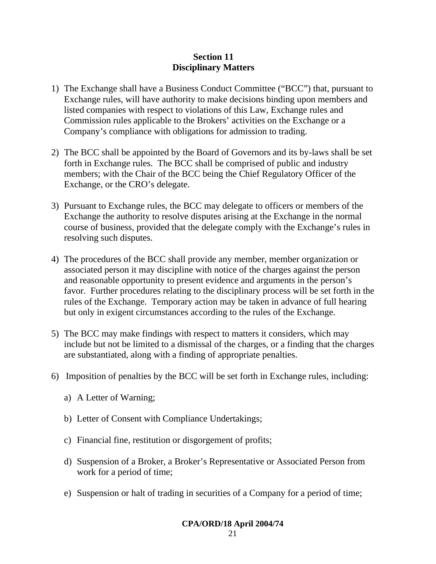## **Section 11 Disciplinary Matters**

- 1) The Exchange shall have a Business Conduct Committee ("BCC") that, pursuant to Exchange rules, will have authority to make decisions binding upon members and listed companies with respect to violations of this Law, Exchange rules and Commission rules applicable to the Brokers' activities on the Exchange or a Company's compliance with obligations for admission to trading.
- 2) The BCC shall be appointed by the Board of Governors and its by-laws shall be set forth in Exchange rules. The BCC shall be comprised of public and industry members; with the Chair of the BCC being the Chief Regulatory Officer of the Exchange, or the CRO's delegate.
- 3) Pursuant to Exchange rules, the BCC may delegate to officers or members of the Exchange the authority to resolve disputes arising at the Exchange in the normal course of business, provided that the delegate comply with the Exchange's rules in resolving such disputes.
- 4) The procedures of the BCC shall provide any member, member organization or associated person it may discipline with notice of the charges against the person and reasonable opportunity to present evidence and arguments in the person's favor. Further procedures relating to the disciplinary process will be set forth in the rules of the Exchange. Temporary action may be taken in advance of full hearing but only in exigent circumstances according to the rules of the Exchange.
- 5) The BCC may make findings with respect to matters it considers, which may include but not be limited to a dismissal of the charges, or a finding that the charges are substantiated, along with a finding of appropriate penalties.
- 6) Imposition of penalties by the BCC will be set forth in Exchange rules, including:
	- a) A Letter of Warning;
	- b) Letter of Consent with Compliance Undertakings;
	- c) Financial fine, restitution or disgorgement of profits;
	- d) Suspension of a Broker, a Broker's Representative or Associated Person from work for a period of time;
	- e) Suspension or halt of trading in securities of a Company for a period of time;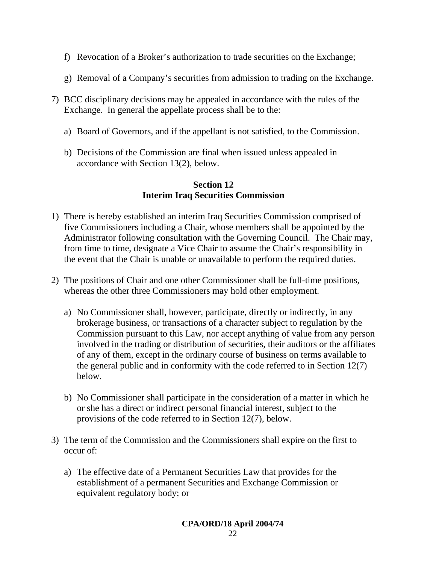- f) Revocation of a Broker's authorization to trade securities on the Exchange;
- g) Removal of a Company's securities from admission to trading on the Exchange.
- 7) BCC disciplinary decisions may be appealed in accordance with the rules of the Exchange. In general the appellate process shall be to the:
	- a) Board of Governors, and if the appellant is not satisfied, to the Commission.
	- b) Decisions of the Commission are final when issued unless appealed in accordance with Section 13(2), below.

# **Section 12 Interim Iraq Securities Commission**

- 1) There is hereby established an interim Iraq Securities Commission comprised of five Commissioners including a Chair, whose members shall be appointed by the Administrator following consultation with the Governing Council. The Chair may, from time to time, designate a Vice Chair to assume the Chair's responsibility in the event that the Chair is unable or unavailable to perform the required duties.
- 2) The positions of Chair and one other Commissioner shall be full-time positions, whereas the other three Commissioners may hold other employment.
	- a) No Commissioner shall, however, participate, directly or indirectly, in any brokerage business, or transactions of a character subject to regulation by the Commission pursuant to this Law, nor accept anything of value from any person involved in the trading or distribution of securities, their auditors or the affiliates of any of them, except in the ordinary course of business on terms available to the general public and in conformity with the code referred to in Section 12(7) below.
	- b) No Commissioner shall participate in the consideration of a matter in which he or she has a direct or indirect personal financial interest, subject to the provisions of the code referred to in Section 12(7), below.
- 3) The term of the Commission and the Commissioners shall expire on the first to occur of:
	- a) The effective date of a Permanent Securities Law that provides for the establishment of a permanent Securities and Exchange Commission or equivalent regulatory body; or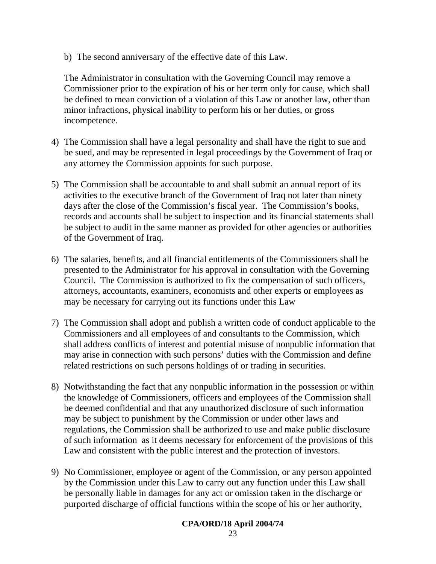b) The second anniversary of the effective date of this Law.

The Administrator in consultation with the Governing Council may remove a Commissioner prior to the expiration of his or her term only for cause, which shall be defined to mean conviction of a violation of this Law or another law, other than minor infractions, physical inability to perform his or her duties, or gross incompetence.

- 4) The Commission shall have a legal personality and shall have the right to sue and be sued, and may be represented in legal proceedings by the Government of Iraq or any attorney the Commission appoints for such purpose.
- 5) The Commission shall be accountable to and shall submit an annual report of its activities to the executive branch of the Government of Iraq not later than ninety days after the close of the Commission's fiscal year. The Commission's books, records and accounts shall be subject to inspection and its financial statements shall be subject to audit in the same manner as provided for other agencies or authorities of the Government of Iraq.
- 6) The salaries, benefits, and all financial entitlements of the Commissioners shall be presented to the Administrator for his approval in consultation with the Governing Council. The Commission is authorized to fix the compensation of such officers, attorneys, accountants, examiners, economists and other experts or employees as may be necessary for carrying out its functions under this Law
- 7) The Commission shall adopt and publish a written code of conduct applicable to the Commissioners and all employees of and consultants to the Commission, which shall address conflicts of interest and potential misuse of nonpublic information that may arise in connection with such persons' duties with the Commission and define related restrictions on such persons holdings of or trading in securities.
- 8) Notwithstanding the fact that any nonpublic information in the possession or within the knowledge of Commissioners, officers and employees of the Commission shall be deemed confidential and that any unauthorized disclosure of such information may be subject to punishment by the Commission or under other laws and regulations, the Commission shall be authorized to use and make public disclosure of such information as it deems necessary for enforcement of the provisions of this Law and consistent with the public interest and the protection of investors.
- 9) No Commissioner, employee or agent of the Commission, or any person appointed by the Commission under this Law to carry out any function under this Law shall be personally liable in damages for any act or omission taken in the discharge or purported discharge of official functions within the scope of his or her authority,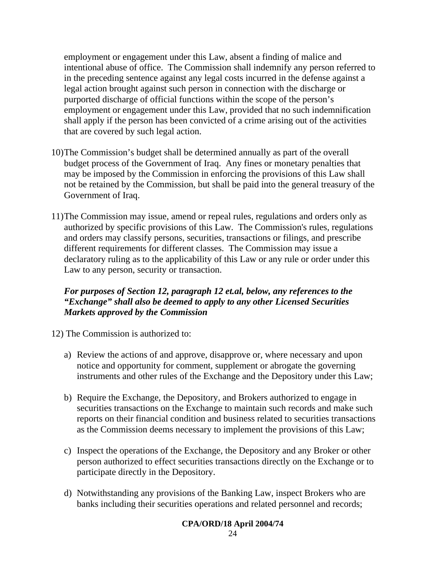employment or engagement under this Law, absent a finding of malice and intentional abuse of office. The Commission shall indemnify any person referred to in the preceding sentence against any legal costs incurred in the defense against a legal action brought against such person in connection with the discharge or purported discharge of official functions within the scope of the person's employment or engagement under this Law, provided that no such indemnification shall apply if the person has been convicted of a crime arising out of the activities that are covered by such legal action.

- 10) The Commission's budget shall be determined annually as part of the overall budget process of the Government of Iraq. Any fines or monetary penalties that may be imposed by the Commission in enforcing the provisions of this Law shall not be retained by the Commission, but shall be paid into the general treasury of the Government of Iraq.
- 11) The Commission may issue, amend or repeal rules, regulations and orders only as authorized by specific provisions of this Law. The Commission's rules, regulations and orders may classify persons, securities, transactions or filings, and prescribe different requirements for different classes. The Commission may issue a declaratory ruling as to the applicability of this Law or any rule or order under this Law to any person, security or transaction.

## *For purposes of Section 12, paragraph 12 et.al, below, any references to the "Exchange" shall also be deemed to apply to any other Licensed Securities Markets approved by the Commission*

- 12) The Commission is authorized to:
	- a) Review the actions of and approve, disapprove or, where necessary and upon notice and opportunity for comment, supplement or abrogate the governing instruments and other rules of the Exchange and the Depository under this Law;
	- b) Require the Exchange, the Depository, and Brokers authorized to engage in securities transactions on the Exchange to maintain such records and make such reports on their financial condition and business related to securities transactions as the Commission deems necessary to implement the provisions of this Law;
	- c) Inspect the operations of the Exchange, the Depository and any Broker or other person authorized to effect securities transactions directly on the Exchange or to participate directly in the Depository.
	- d) Notwithstanding any provisions of the Banking Law, inspect Brokers who are banks including their securities operations and related personnel and records;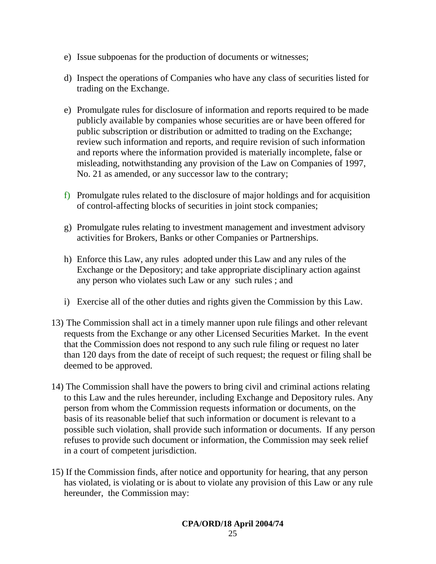- e) Issue subpoenas for the production of documents or witnesses;
- d) Inspect the operations of Companies who have any class of securities listed for trading on the Exchange.
- e) Promulgate rules for disclosure of information and reports required to be made publicly available by companies whose securities are or have been offered for public subscription or distribution or admitted to trading on the Exchange; review such information and reports, and require revision of such information and reports where the information provided is materially incomplete, false or misleading, notwithstanding any provision of the Law on Companies of 1997, No. 21 as amended, or any successor law to the contrary;
- f) Promulgate rules related to the disclosure of major holdings and for acquisition of control-affecting blocks of securities in joint stock companies;
- g) Promulgate rules relating to investment management and investment advisory activities for Brokers, Banks or other Companies or Partnerships.
- h) Enforce this Law, any rules adopted under this Law and any rules of the Exchange or the Depository; and take appropriate disciplinary action against any person who violates such Law or any such rules ; and
- i) Exercise all of the other duties and rights given the Commission by this Law.
- 13) The Commission shall act in a timely manner upon rule filings and other relevant requests from the Exchange or any other Licensed Securities Market. In the event that the Commission does not respond to any such rule filing or request no later than 120 days from the date of receipt of such request; the request or filing shall be deemed to be approved.
- 14) The Commission shall have the powers to bring civil and criminal actions relating to this Law and the rules hereunder, including Exchange and Depository rules. Any person from whom the Commission requests information or documents, on the basis of its reasonable belief that such information or document is relevant to a possible such violation, shall provide such information or documents. If any person refuses to provide such document or information, the Commission may seek relief in a court of competent jurisdiction.
- 15) If the Commission finds, after notice and opportunity for hearing, that any person has violated, is violating or is about to violate any provision of this Law or any rule hereunder, the Commission may: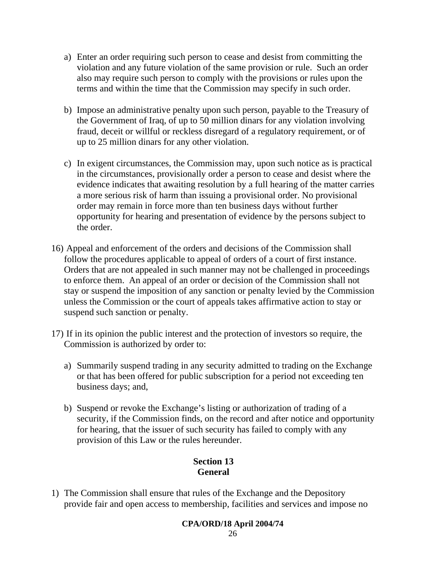- a) Enter an order requiring such person to cease and desist from committing the violation and any future violation of the same provision or rule. Such an order also may require such person to comply with the provisions or rules upon the terms and within the time that the Commission may specify in such order.
- b) Impose an administrative penalty upon such person, payable to the Treasury of the Government of Iraq, of up to 50 million dinars for any violation involving fraud, deceit or willful or reckless disregard of a regulatory requirement, or of up to 25 million dinars for any other violation.
- c) In exigent circumstances, the Commission may, upon such notice as is practical in the circumstances, provisionally order a person to cease and desist where the evidence indicates that awaiting resolution by a full hearing of the matter carries a more serious risk of harm than issuing a provisional order. No provisional order may remain in force more than ten business days without further opportunity for hearing and presentation of evidence by the persons subject to the order.
- 16) Appeal and enforcement of the orders and decisions of the Commission shall follow the procedures applicable to appeal of orders of a court of first instance. Orders that are not appealed in such manner may not be challenged in proceedings to enforce them. An appeal of an order or decision of the Commission shall not stay or suspend the imposition of any sanction or penalty levied by the Commission unless the Commission or the court of appeals takes affirmative action to stay or suspend such sanction or penalty.
- 17) If in its opinion the public interest and the protection of investors so require, the Commission is authorized by order to:
	- a) Summarily suspend trading in any security admitted to trading on the Exchange or that has been offered for public subscription for a period not exceeding ten business days; and,
	- b) Suspend or revoke the Exchange's listing or authorization of trading of a security, if the Commission finds, on the record and after notice and opportunity for hearing, that the issuer of such security has failed to comply with any provision of this Law or the rules hereunder.

# **Section 13 General**

1) The Commission shall ensure that rules of the Exchange and the Depository provide fair and open access to membership, facilities and services and impose no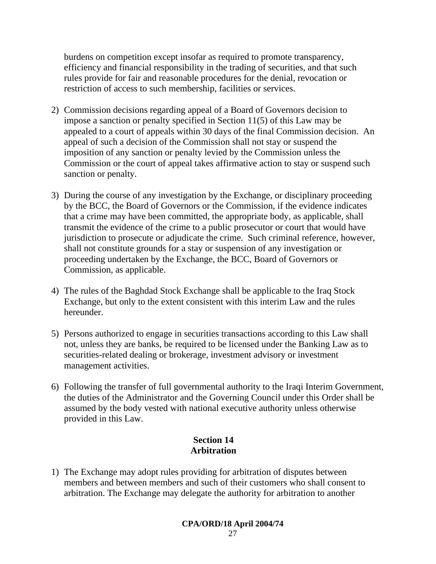burdens on competition except insofar as required to promote transparency, efficiency and financial responsibility in the trading of securities, and that such rules provide for fair and reasonable procedures for the denial, revocation or restriction of access to such membership, facilities or services.

- 2) Commission decisions regarding appeal of a Board of Governors decision to impose a sanction or penalty specified in Section 11(5) of this Law may be appealed to a court of appeals within 30 days of the final Commission decision. An appeal of such a decision of the Commission shall not stay or suspend the imposition of any sanction or penalty levied by the Commission unless the Commission or the court of appeal takes affirmative action to stay or suspend such sanction or penalty.
- 3) During the course of any investigation by the Exchange, or disciplinary proceeding by the BCC, the Board of Governors or the Commission, if the evidence indicates that a crime may have been committed, the appropriate body, as applicable, shall transmit the evidence of the crime to a public prosecutor or court that would have jurisdiction to prosecute or adjudicate the crime. Such criminal reference, however, shall not constitute grounds for a stay or suspension of any investigation or proceeding undertaken by the Exchange, the BCC, Board of Governors or Commission, as applicable.
- 4) The rules of the Baghdad Stock Exchange shall be applicable to the Iraq Stock Exchange, but only to the extent consistent with this interim Law and the rules hereunder.
- 5) Persons authorized to engage in securities transactions according to this Law shall not, unless they are banks, be required to be licensed under the Banking Law as to securities-related dealing or brokerage, investment advisory or investment management activities.
- 6) Following the transfer of full governmental authority to the Iraqi Interim Government, the duties of the Administrator and the Governing Council under this Order shall be assumed by the body vested with national executive authority unless otherwise provided in this Law.

### **Section 14 Arbitration**

1) The Exchange may adopt rules providing for arbitration of disputes between members and between members and such of their customers who shall consent to arbitration. The Exchange may delegate the authority for arbitration to another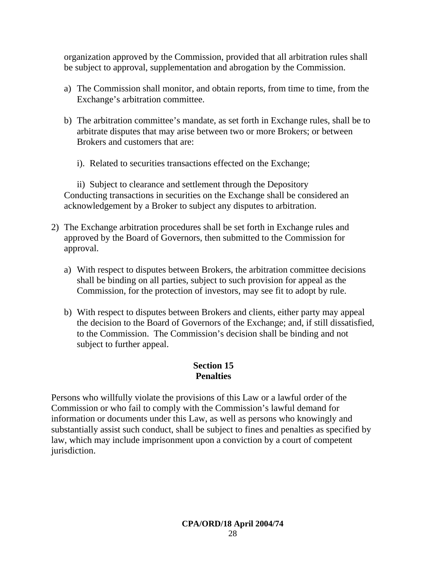organization approved by the Commission, provided that all arbitration rules shall be subject to approval, supplementation and abrogation by the Commission.

- a) The Commission shall monitor, and obtain reports, from time to time, from the Exchange's arbitration committee.
- b) The arbitration committee's mandate, as set forth in Exchange rules, shall be to arbitrate disputes that may arise between two or more Brokers; or between Brokers and customers that are:
	- i). Related to securities transactions effected on the Exchange;

ii) Subject to clearance and settlement through the Depository Conducting transactions in securities on the Exchange shall be considered an acknowledgement by a Broker to subject any disputes to arbitration.

- 2) The Exchange arbitration procedures shall be set forth in Exchange rules and approved by the Board of Governors, then submitted to the Commission for approval.
	- a) With respect to disputes between Brokers, the arbitration committee decisions shall be binding on all parties, subject to such provision for appeal as the Commission, for the protection of investors, may see fit to adopt by rule.
	- b) With respect to disputes between Brokers and clients, either party may appeal the decision to the Board of Governors of the Exchange; and, if still dissatisfied, to the Commission. The Commission's decision shall be binding and not subject to further appeal.

# **Section 15 Penalties**

Persons who willfully violate the provisions of this Law or a lawful order of the Commission or who fail to comply with the Commission's lawful demand for information or documents under this Law, as well as persons who knowingly and substantially assist such conduct, shall be subject to fines and penalties as specified by law, which may include imprisonment upon a conviction by a court of competent jurisdiction.